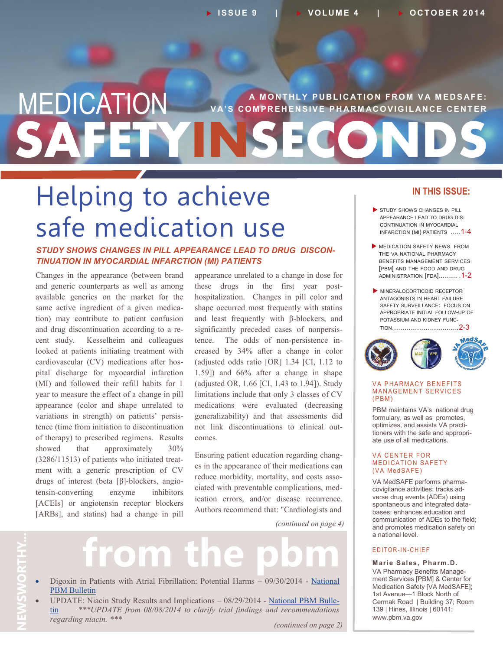## **SAFETYINSECONDS MEDICATION** VA'S COMPREHENSIVE PHARMACOVIGILANCE CENTER **V A' S C O M P R E H E N S I V E P H AR M AC O V I G I L AN C E C E N T E R**

# Helping to achieve safe medication use

#### *STUDY SHOWS CHANGES IN PILL APPEARANCE LEAD TO DRUG DISCON-TINUATION IN MYOCARDIAL INFARCTION (MI) PATIENTS*

Changes in the appearance (between brand and generic counterparts as well as among available generics on the market for the same active ingredient of a given medication) may contribute to patient confusion and drug discontinuation according to a recent study. Kesselheim and colleagues looked at patients initiating treatment with cardiovascular (CV) medications after hospital discharge for myocardial infarction (MI) and followed their refill habits for 1 year to measure the effect of a change in pill appearance (color and shape unrelated to variations in strength) on patients' persistence (time from initiation to discontinuation of therapy) to prescribed regimens. Results showed that approximately 30% (3286/11513) of patients who initiated treatment with a generic prescription of CV drugs of interest (beta [β]-blockers, angiotensin-converting enzyme inhibitors [ACEIs] or angiotensin receptor blockers [ARBs], and statins) had a change in pill

appearance unrelated to a change in dose for these drugs in the first year posthospitalization. Changes in pill color and shape occurred most frequently with statins and least frequently with β-blockers, and significantly preceded cases of nonpersistence. The odds of non-persistence increased by 34% after a change in color (adjusted odds ratio [OR] 1.34 [CI, 1.12 to 1.59]) and 66% after a change in shape (adjusted OR, 1.66 [CI, 1.43 to 1.94]). Study limitations include that only 3 classes of CV medications were evaluated (decreasing generalizability) and that assessments did not link discontinuations to clinical outcomes.

Ensuring patient education regarding changes in the appearance of their medications can reduce morbidity, mortality, and costs associated with preventable complications, medication errors, and/or disease recurrence. Authors recommend that: "Cardiologists and

*(continued on page 4)*

# **NEWSWORTHY...**

# **from the pbm**

- Digoxin in Patients with Atrial Fibrillation: Potential Harms 09/30/2014 [National](http://www.pbm.va.gov/PBM/vacenterformedicationsafety/nationalpbmbulletin/DIGOXIN_IN_PATIENTS_WITH_ATRIAL_FIBRILLATION_POTENTIAL_HARMS_Bulletin.pdf)  [PBM Bulletin](http://www.pbm.va.gov/PBM/vacenterformedicationsafety/nationalpbmbulletin/DIGOXIN_IN_PATIENTS_WITH_ATRIAL_FIBRILLATION_POTENTIAL_HARMS_Bulletin.pdf)
- UPDATE: Niacin Study Results and Implications 08/29/2014 [National PBM Bulle](http://www.pbm.va.gov/PBM/vacenterformedicationsafety/nationalpbmbulletin/Niacin_Study_Results_and_Implications_Revised%20_NATIONAL_PBM_BULLETIN_082914_FINAL.pdf)[tin](http://www.pbm.va.gov/PBM/vacenterformedicationsafety/nationalpbmbulletin/Niacin_Study_Results_and_Implications_Revised%20_NATIONAL_PBM_BULLETIN_082914_FINAL.pdf) *\*\*\*UPDATE from 08/08/2014 to clarify trial findings and recommendations regarding niacin. \*\*\**

#### *(continued on page 2)*

#### **IN THIS ISSUE:**

- STUDY SHOWS CHANGES IN PILL APPEARANCE LEAD TO DRUG DIS-CONTINUATION IN MYOCARDIAL INFARCTION (MI) PATIENTS .....1-4
- **MEDICATION SAFETY NEWS FROM** THE VA NATIONAL PHARMACY BENEFITS MANAGEMENT SERVICES [PBM] AND THE FOOD AND DRUG ADMINISTRATION [FDA]..……. .1-2
- MINERALOCORTICOID RECEPTOR ANTAGONISTS IN HEART FAILURE SAFETY SURVEILLANCE: FOCUS ON APPROPRIATE INITIAL FOLLOW-UP OF POTASSIUM AND KIDNEY FUNC-TION…………………………..2-3



#### **VA PHARMACY BENEFITS MANAGEMENT SERVICES**  $(PBM)$

PBM maintains VA's national drug formulary, as well as promotes, optimizes, and assists VA practitioners with the safe and appropriate use of all medications.

#### **VA CENTER FOR MEDICATION SAFETY** (VA MedSAFE)

VA MedSAFE performs pharmacovigilance activities; tracks adverse drug events (ADEs) using spontaneous and integrated databases; enhances education and communication of ADEs to the field; and promotes medication safety on a national level.

#### E DITOR-IN-CHIEF

**Marie Sales, Pharm.D.** VA Pharmacy Benefits Management Services [PBM] & Center for Medication Safety [VA MedSAFE]; 1st Avenue—1 Block North of Cermak Road | Building 37; Room 139 | Hines, Illinois | 60141; www.pbm.va.gov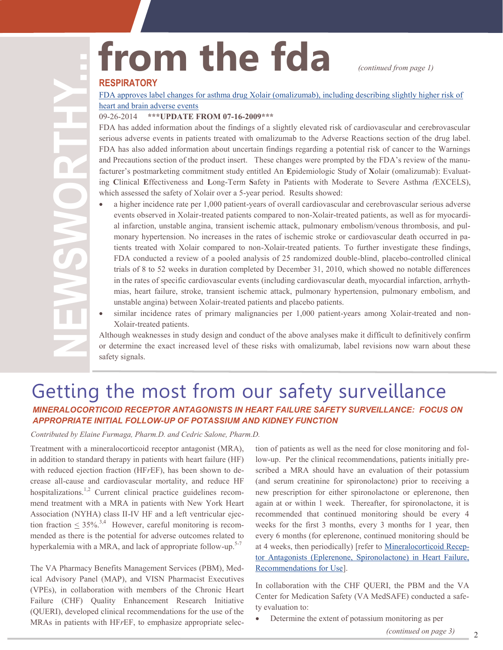# from the fda *continued from page 1*

#### **RESPIRATORY**

[FDA approves label changes for asthma drug Xolair \(omalizumab\), including describing slightly higher risk of](http://www.fda.gov/Drugs/DrugSafety/ucm414911.htm)  [heart and brain adverse events](http://www.fda.gov/Drugs/DrugSafety/ucm414911.htm)

#### 09-26-2014 **\*\*\*UPDATE FROM 07-16-2009\*\*\***

FDA has added information about the findings of a slightly elevated risk of cardiovascular and cerebrovascular serious adverse events in patients treated with omalizumab to the Adverse Reactions section of the drug label. FDA has also added information about uncertain findings regarding a potential risk of cancer to the Warnings and Precautions section of the product insert. These changes were prompted by the FDA's review of the manufacturer's postmarketing commitment study entitled An **E**pidemiologic Study of **X**olair (omalizumab): Evaluating **C**linical **E**ffectiveness and **L**ong-Term **S**afety in Patients with Moderate to Severe Asthma *(*EXCELS), which assessed the safety of Xolair over a 5-year period. Results showed:

- a higher incidence rate per 1,000 patient-years of overall cardiovascular and cerebrovascular serious adverse events observed in Xolair-treated patients compared to non-Xolair-treated patients, as well as for myocardial infarction, unstable angina, transient ischemic attack, pulmonary embolism/venous thrombosis, and pulmonary hypertension. No increases in the rates of ischemic stroke or cardiovascular death occurred in patients treated with Xolair compared to non-Xolair-treated patients. To further investigate these findings, FDA conducted a review of a pooled analysis of 25 randomized double-blind, placebo-controlled clinical trials of 8 to 52 weeks in duration completed by December 31, 2010, which showed no notable differences in the rates of specific cardiovascular events (including cardiovascular death, myocardial infarction, arrhythmias, heart failure, stroke, transient ischemic attack, pulmonary hypertension, pulmonary embolism, and unstable angina) between Xolair-treated patients and placebo patients.
- similar incidence rates of primary malignancies per 1,000 patient-years among Xolair-treated and non-Xolair-treated patients.

Although weaknesses in study design and conduct of the above analyses make it difficult to definitively confirm or determine the exact increased level of these risks with omalizumab, label revisions now warn about these safety signals.

#### Getting the most from our safety surveillance *MINERALOCORTICOID RECEPTOR ANTAGONISTS IN HEART FAILURE SAFETY SURVEILLANCE: FOCUS ON APPROPRIATE INITIAL FOLLOW-UP OF POTASSIUM AND KIDNEY FUNCTION*

*Contributed by Elaine Furmaga, Pharm.D. and Cedric Salone, Pharm.D.*

Treatment with a mineralocorticoid receptor antagonist (MRA), in addition to standard therapy in patients with heart failure (HF) with reduced ejection fraction (HF*r*EF), has been shown to decrease all-cause and cardiovascular mortality, and reduce HF hospitalizations.<sup>1,2</sup> Current clinical practice guidelines recommend treatment with a MRA in patients with New York Heart Association (NYHA) class II-IV HF and a left ventricular ejection fraction  $\leq 35\%$ <sup>3,4</sup> However, careful monitoring is recommended as there is the potential for adverse outcomes related to hyperkalemia with a MRA, and lack of appropriate follow-up.<sup>5-7</sup>

The VA Pharmacy Benefits Management Services (PBM), Medical Advisory Panel (MAP), and VISN Pharmacist Executives (VPEs), in collaboration with members of the Chronic Heart Failure (CHF) Quality Enhancement Research Initiative (QUERI), developed clinical recommendations for the use of the MRAs in patients with HF*r*EF, to emphasize appropriate selec-

tion of patients as well as the need for close monitoring and follow-up. Per the clinical recommendations, patients initially prescribed a MRA should have an evaluation of their potassium (and serum creatinine for spironolactone) prior to receiving a new prescription for either spironolactone or eplerenone, then again at or within 1 week. Thereafter, for spironolactone, it is recommended that continued monitoring should be every 4 weeks for the first 3 months, every 3 months for 1 year, then every 6 months (for eplerenone, continued monitoring should be at 4 weeks, then periodically) [refer to [Mineralocorticoid Recep](https://vaww.cmopnational.va.gov/cmop/PBM/Clinical%20Guidance/Clinical%20Recommendations/Mineralocorticoid%20Receptor%20Antagonists%20(Eplerenone,%20Spironolactone)%20in%20Heart%20Failure,%20Recommendations%20for%20Use.doc)[tor Antagonists \(Eplerenone, Spironolactone\) in Heart Failure,](https://vaww.cmopnational.va.gov/cmop/PBM/Clinical%20Guidance/Clinical%20Recommendations/Mineralocorticoid%20Receptor%20Antagonists%20(Eplerenone,%20Spironolactone)%20in%20Heart%20Failure,%20Recommendations%20for%20Use.doc)  [Recommendations for Use\]](https://vaww.cmopnational.va.gov/cmop/PBM/Clinical%20Guidance/Clinical%20Recommendations/Mineralocorticoid%20Receptor%20Antagonists%20(Eplerenone,%20Spironolactone)%20in%20Heart%20Failure,%20Recommendations%20for%20Use.doc).

In collaboration with the CHF QUERI, the PBM and the VA Center for Medication Safety (VA MedSAFE) conducted a safety evaluation to:

Determine the extent of potassium monitoring as per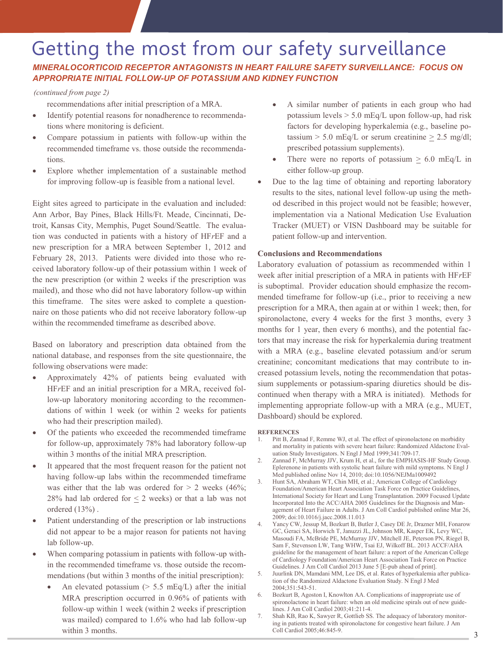### Getting the most from our safety surveillance

*MINERALOCORTICOID RECEPTOR ANTAGONISTS IN HEART FAILURE SAFETY SURVEILLANCE: FOCUS ON APPROPRIATE INITIAL FOLLOW-UP OF POTASSIUM AND KIDNEY FUNCTION* 

#### *(continued from page 2)*

recommendations after initial prescription of a MRA.

- Identify potential reasons for nonadherence to recommendations where monitoring is deficient.
- Compare potassium in patients with follow-up within the recommended timeframe vs. those outside the recommendations.
- Explore whether implementation of a sustainable method for improving follow-up is feasible from a national level.

Eight sites agreed to participate in the evaluation and included: Ann Arbor, Bay Pines, Black Hills/Ft. Meade, Cincinnati, Detroit, Kansas City, Memphis, Puget Sound/Seattle. The evaluation was conducted in patients with a history of HF*r*EF and a new prescription for a MRA between September 1, 2012 and February 28, 2013. Patients were divided into those who received laboratory follow-up of their potassium within 1 week of the new prescription (or within 2 weeks if the prescription was mailed), and those who did not have laboratory follow-up within this timeframe. The sites were asked to complete a questionnaire on those patients who did not receive laboratory follow-up within the recommended timeframe as described above.

Based on laboratory and prescription data obtained from the national database, and responses from the site questionnaire, the following observations were made:

- Approximately 42% of patients being evaluated with HF*r*EF and an initial prescription for a MRA, received follow-up laboratory monitoring according to the recommendations of within 1 week (or within 2 weeks for patients who had their prescription mailed).
- Of the patients who exceeded the recommended timeframe for follow-up, approximately 78% had laboratory follow-up within 3 months of the initial MRA prescription.
- It appeared that the most frequent reason for the patient not having follow-up labs within the recommended timeframe was either that the lab was ordered for  $> 2$  weeks (46%; 28% had lab ordered for  $\leq$  2 weeks) or that a lab was not ordered (13%) .
- Patient understanding of the prescription or lab instructions did not appear to be a major reason for patients not having lab follow-up.
- When comparing potassium in patients with follow-up within the recommended timeframe vs. those outside the recommendations (but within 3 months of the initial prescription):
	- An elevated potassium ( $> 5.5$  mEq/L) after the initial MRA prescription occurred in 0.96% of patients with follow-up within 1 week (within 2 weeks if prescription was mailed) compared to 1.6% who had lab follow-up within 3 months.
- A similar number of patients in each group who had potassium levels  $> 5.0$  mEq/L upon follow-up, had risk factors for developing hyperkalemia (e.g., baseline potassium  $> 5.0$  mEq/L or serum creatinine  $> 2.5$  mg/dl; prescribed potassium supplements).
- There were no reports of potassium  $\geq 6.0$  mEq/L in either follow-up group.
- Due to the lag time of obtaining and reporting laboratory results to the sites, national level follow-up using the method described in this project would not be feasible; however, implementation via a National Medication Use Evaluation Tracker (MUET) or VISN Dashboard may be suitable for patient follow-up and intervention.

#### **Conclusions and Recommendations**

Laboratory evaluation of potassium as recommended within 1 week after initial prescription of a MRA in patients with HF*r*EF is suboptimal. Provider education should emphasize the recommended timeframe for follow-up (i.e., prior to receiving a new prescription for a MRA, then again at or within 1 week; then, for spironolactone, every 4 weeks for the first 3 months, every 3 months for 1 year, then every 6 months), and the potential factors that may increase the risk for hyperkalemia during treatment with a MRA (e.g., baseline elevated potassium and/or serum creatinine; concomitant medications that may contribute to increased potassium levels, noting the recommendation that potassium supplements or potassium-sparing diuretics should be discontinued when therapy with a MRA is initiated). Methods for implementing appropriate follow-up with a MRA (e.g., MUET, Dashboard) should be explored.

#### **REFERENCES**

- Pitt B, Zannad F, Remme WJ, et al. The effect of spironolactone on morbidity and mortality in patients with severe heart failure: Randomized Aldactone Evaluation Study Investigators. N Engl J Med 1999;341:709-17.
- 2. Zannad F, McMurray JJV, Krum H, et al., for the EMPHASIS-HF Study Group. Eplerenone in patients with systolic heart failure with mild symptoms. N Engl J Med published online Nov 14, 2010; doi:10.1056/NEJMa1009492
- 3. Hunt SA, Abraham WT, Chin MH, et al.; American College of Cardiology Foundation/American Heart Association Task Force on Practice Guidelines, International Society for Heart and Lung Transplantation. 2009 Focused Update Incorporated Into the ACC/AHA 2005 Guidelines for the Diagnosis and Management of Heart Failure in Adults. J Am Coll Cardiol published online Mar 26, 2009; doi:10.1016/j.jacc.2008.11.013
- 4. Yancy CW, Jessup M, Bozkurt B, Butler J, Casey DE Jr, Drazner MH, Fonarow GC, Geraci SA, Horwich T, Januzzi JL, Johnson MR, Kasper EK, Levy WC, Masoudi FA, McBride PE, McMurray JJV, Mitchell JE, Peterson PN, Riegel B, Sam F, Stevenson LW, Tang WHW, Tsai EJ, Wilkoff BL. 2013 ACCF/AHA guideline for the management of heart failure: a report of the American College of Cardiology Foundation/American Heart Association Task Force on Practice Guidelines. J Am Coll Cardiol 2013 June 5 [E-pub ahead of print].
- 5. [Juurlink DN,](http://www.ncbi.nlm.nih.gov/entrez/query.fcgi?db=pubmed&cmd=Search&itool=pubmed_Abstract&term=%22Juurlink+DN%22%5BAuthor%5D) [Mamdani MM,](http://www.ncbi.nlm.nih.gov/entrez/query.fcgi?db=pubmed&cmd=Search&itool=pubmed_Abstract&term=%22Mamdani+MM%22%5BAuthor%5D) [Lee DS,](http://www.ncbi.nlm.nih.gov/entrez/query.fcgi?db=pubmed&cmd=Search&itool=pubmed_Abstract&term=%22Lee+DS%22%5BAuthor%5D) et al. Rates of hyperkalemia after publication of the Randomized Aldactone Evaluation Study. [N Engl J Med](javascript:AL_get(this,%20)  2004;351:543-51.
- 6. [Bozkurt B,](http://www.ncbi.nlm.nih.gov/entrez/query.fcgi?db=pubmed&cmd=Search&itool=pubmed_Abstract&term=%22Bozkurt+B%22%5BAuthor%5D) [Agoston I,](http://www.ncbi.nlm.nih.gov/entrez/query.fcgi?db=pubmed&cmd=Search&itool=pubmed_Abstract&term=%22Agoston+I%22%5BAuthor%5D) [Knowlton AA.](http://www.ncbi.nlm.nih.gov/entrez/query.fcgi?db=pubmed&cmd=Search&itool=pubmed_Abstract&term=%22Knowlton+AA%22%5BAuthor%5D) Complications of inappropriate use of spironolactone in heart failure: when an old medicine spirals out of new guidelines. [J Am Coll Cardiol 2](javascript:AL_get(this,%20)003;41:211-4.
- 7. Shah KB, Rao K, Sawyer R, Gottlieb SS. The adequacy of laboratory monitoring in patients treated with spironolactone for congestive heart failure. J Am Coll Cardiol 2005;46:845-9.